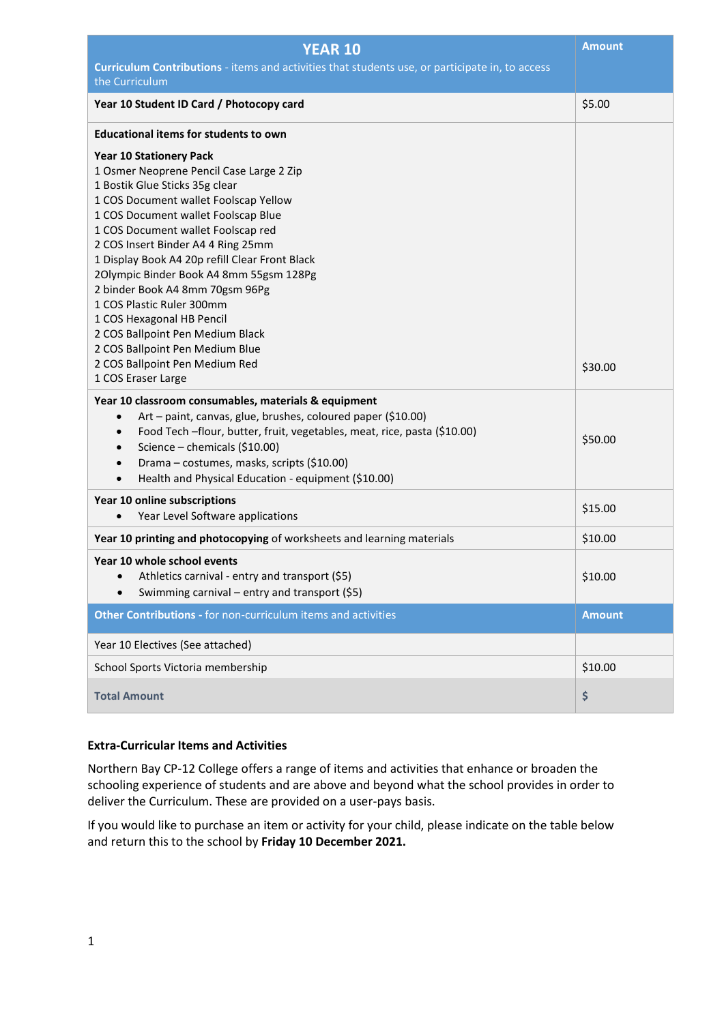| <b>YEAR 10</b>                                                                                                                                                                                                                                                                                                                                                                                                                                                                                                                                                              | <b>Amount</b> |  |  |  |  |
|-----------------------------------------------------------------------------------------------------------------------------------------------------------------------------------------------------------------------------------------------------------------------------------------------------------------------------------------------------------------------------------------------------------------------------------------------------------------------------------------------------------------------------------------------------------------------------|---------------|--|--|--|--|
| Curriculum Contributions - items and activities that students use, or participate in, to access<br>the Curriculum                                                                                                                                                                                                                                                                                                                                                                                                                                                           |               |  |  |  |  |
| Year 10 Student ID Card / Photocopy card                                                                                                                                                                                                                                                                                                                                                                                                                                                                                                                                    | \$5.00        |  |  |  |  |
| <b>Educational items for students to own</b>                                                                                                                                                                                                                                                                                                                                                                                                                                                                                                                                |               |  |  |  |  |
| <b>Year 10 Stationery Pack</b><br>1 Osmer Neoprene Pencil Case Large 2 Zip<br>1 Bostik Glue Sticks 35g clear<br>1 COS Document wallet Foolscap Yellow<br>1 COS Document wallet Foolscap Blue<br>1 COS Document wallet Foolscap red<br>2 COS Insert Binder A4 4 Ring 25mm<br>1 Display Book A4 20p refill Clear Front Black<br>2Olympic Binder Book A4 8mm 55gsm 128Pg<br>2 binder Book A4 8mm 70gsm 96Pg<br>1 COS Plastic Ruler 300mm<br>1 COS Hexagonal HB Pencil<br>2 COS Ballpoint Pen Medium Black<br>2 COS Ballpoint Pen Medium Blue<br>2 COS Ballpoint Pen Medium Red | \$30.00       |  |  |  |  |
| 1 COS Eraser Large<br>Year 10 classroom consumables, materials & equipment<br>Art - paint, canvas, glue, brushes, coloured paper (\$10.00)<br>$\bullet$<br>Food Tech -flour, butter, fruit, vegetables, meat, rice, pasta (\$10.00)<br>$\bullet$<br>Science - chemicals (\$10.00)<br>$\bullet$<br>Drama - costumes, masks, scripts (\$10.00)<br>$\bullet$<br>Health and Physical Education - equipment (\$10.00)<br>$\bullet$                                                                                                                                               | \$50.00       |  |  |  |  |
| Year 10 online subscriptions<br>Year Level Software applications<br>$\bullet$                                                                                                                                                                                                                                                                                                                                                                                                                                                                                               | \$15.00       |  |  |  |  |
| Year 10 printing and photocopying of worksheets and learning materials                                                                                                                                                                                                                                                                                                                                                                                                                                                                                                      | \$10.00       |  |  |  |  |
| Year 10 whole school events<br>Athletics carnival - entry and transport (\$5)<br>$\bullet$<br>Swimming carnival - entry and transport (\$5)                                                                                                                                                                                                                                                                                                                                                                                                                                 | \$10.00       |  |  |  |  |
| Other Contributions - for non-curriculum items and activities                                                                                                                                                                                                                                                                                                                                                                                                                                                                                                               | <b>Amount</b> |  |  |  |  |
| Year 10 Electives (See attached)                                                                                                                                                                                                                                                                                                                                                                                                                                                                                                                                            |               |  |  |  |  |
| School Sports Victoria membership                                                                                                                                                                                                                                                                                                                                                                                                                                                                                                                                           | \$10.00       |  |  |  |  |
| <b>Total Amount</b>                                                                                                                                                                                                                                                                                                                                                                                                                                                                                                                                                         | \$            |  |  |  |  |

# **Extra-Curricular Items and Activities**

Northern Bay CP-12 College offers a range of items and activities that enhance or broaden the schooling experience of students and are above and beyond what the school provides in order to deliver the Curriculum. These are provided on a user-pays basis.

If you would like to purchase an item or activity for your child, please indicate on the table below and return this to the school by **Friday 10 December 2021.**